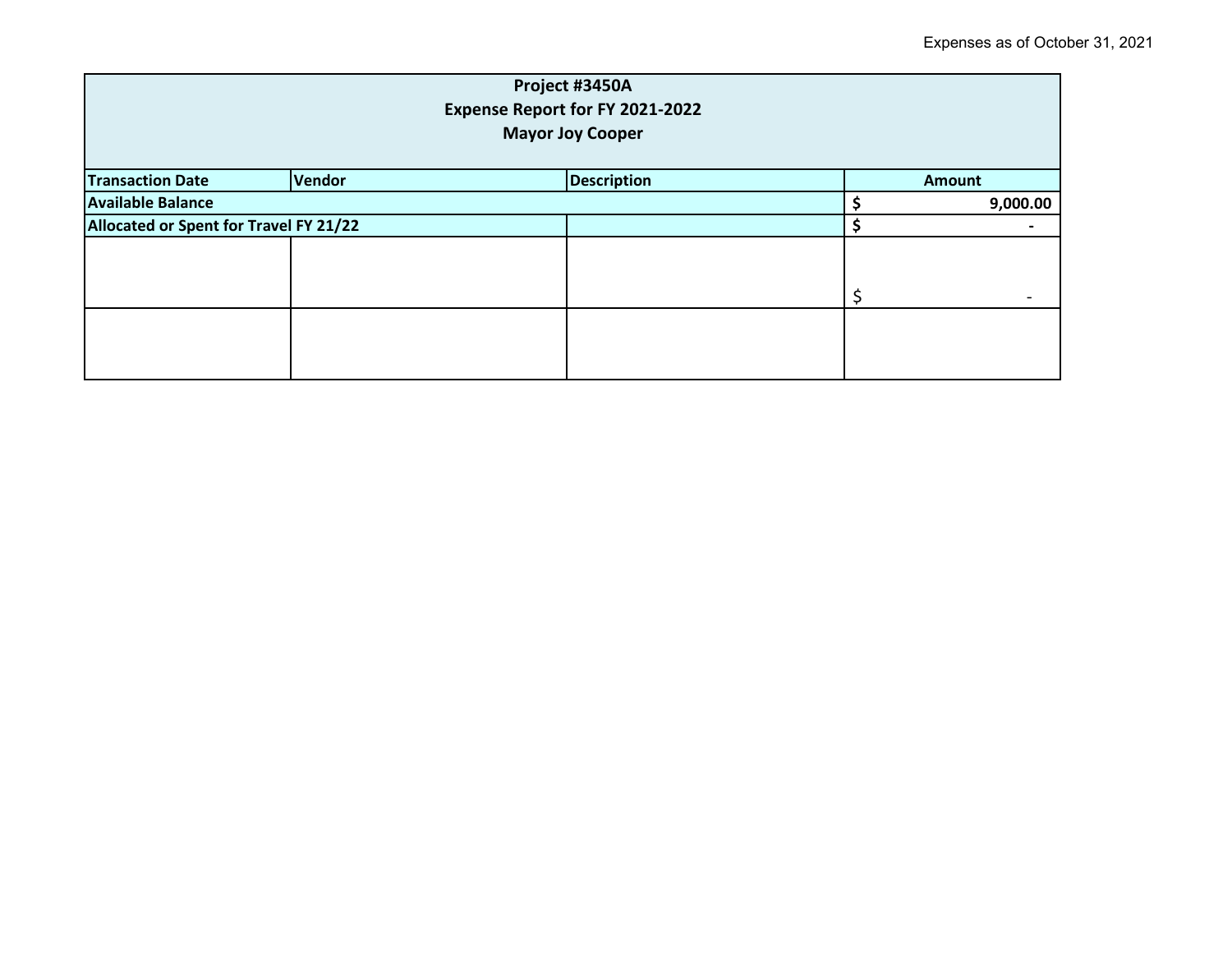| Project #3450A<br>Expense Report for FY 2021-2022<br><b>Mayor Joy Cooper</b> |                                        |                    |  |               |  |
|------------------------------------------------------------------------------|----------------------------------------|--------------------|--|---------------|--|
| <b>Transaction Date</b>                                                      | Vendor                                 | <b>Description</b> |  | <b>Amount</b> |  |
| <b>Available Balance</b>                                                     |                                        |                    |  | 9,000.00      |  |
|                                                                              | Allocated or Spent for Travel FY 21/22 |                    |  |               |  |
|                                                                              |                                        |                    |  |               |  |
|                                                                              |                                        |                    |  |               |  |
|                                                                              |                                        |                    |  |               |  |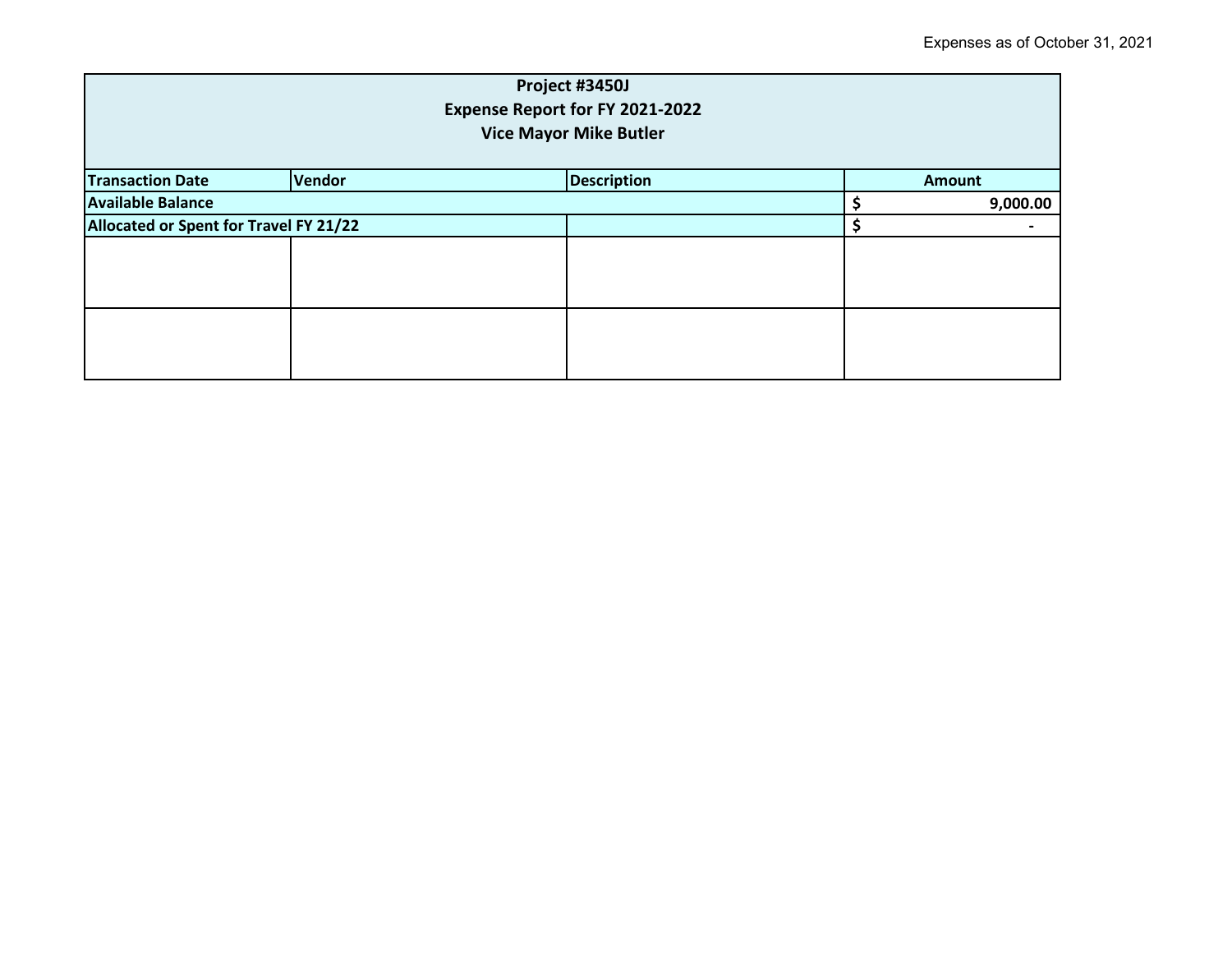| Project #3450J<br>Expense Report for FY 2021-2022<br><b>Vice Mayor Mike Butler</b> |        |                    |  |               |  |
|------------------------------------------------------------------------------------|--------|--------------------|--|---------------|--|
| <b>Transaction Date</b>                                                            | Vendor | <b>Description</b> |  | <b>Amount</b> |  |
| <b>Available Balance</b>                                                           |        |                    |  | 9,000.00      |  |
| Allocated or Spent for Travel FY 21/22                                             |        |                    |  |               |  |
|                                                                                    |        |                    |  |               |  |
|                                                                                    |        |                    |  |               |  |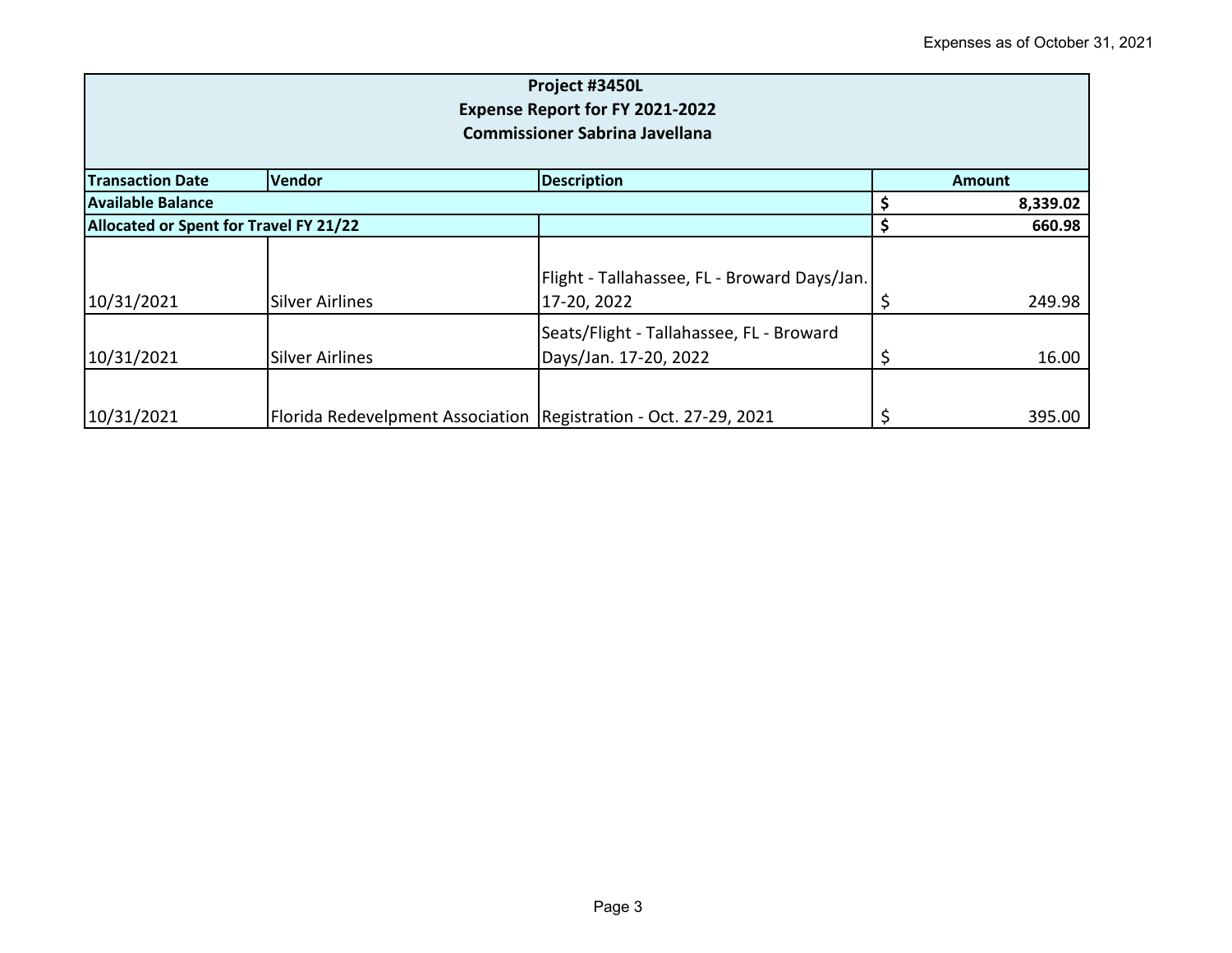| Project #3450L<br><b>Expense Report for FY 2021-2022</b><br><b>Commissioner Sabrina Javellana</b> |                                                                    |                                                                   |    |               |  |
|---------------------------------------------------------------------------------------------------|--------------------------------------------------------------------|-------------------------------------------------------------------|----|---------------|--|
| <b>Vendor</b><br><b>Description</b><br><b>Transaction Date</b>                                    |                                                                    |                                                                   |    | <b>Amount</b> |  |
| <b>Available Balance</b>                                                                          |                                                                    |                                                                   |    | 8,339.02      |  |
| Allocated or Spent for Travel FY 21/22                                                            |                                                                    |                                                                   | \$ | 660.98        |  |
| 10/31/2021                                                                                        | <b>Silver Airlines</b>                                             | Flight - Tallahassee, FL - Broward Days/Jan.<br>17-20, 2022       |    | 249.98        |  |
| 10/31/2021                                                                                        | <b>Silver Airlines</b>                                             | Seats/Flight - Tallahassee, FL - Broward<br>Days/Jan. 17-20, 2022 |    | 16.00         |  |
| 10/31/2021                                                                                        | Florida Redevelpment Association   Registration - Oct. 27-29, 2021 |                                                                   |    | 395.00        |  |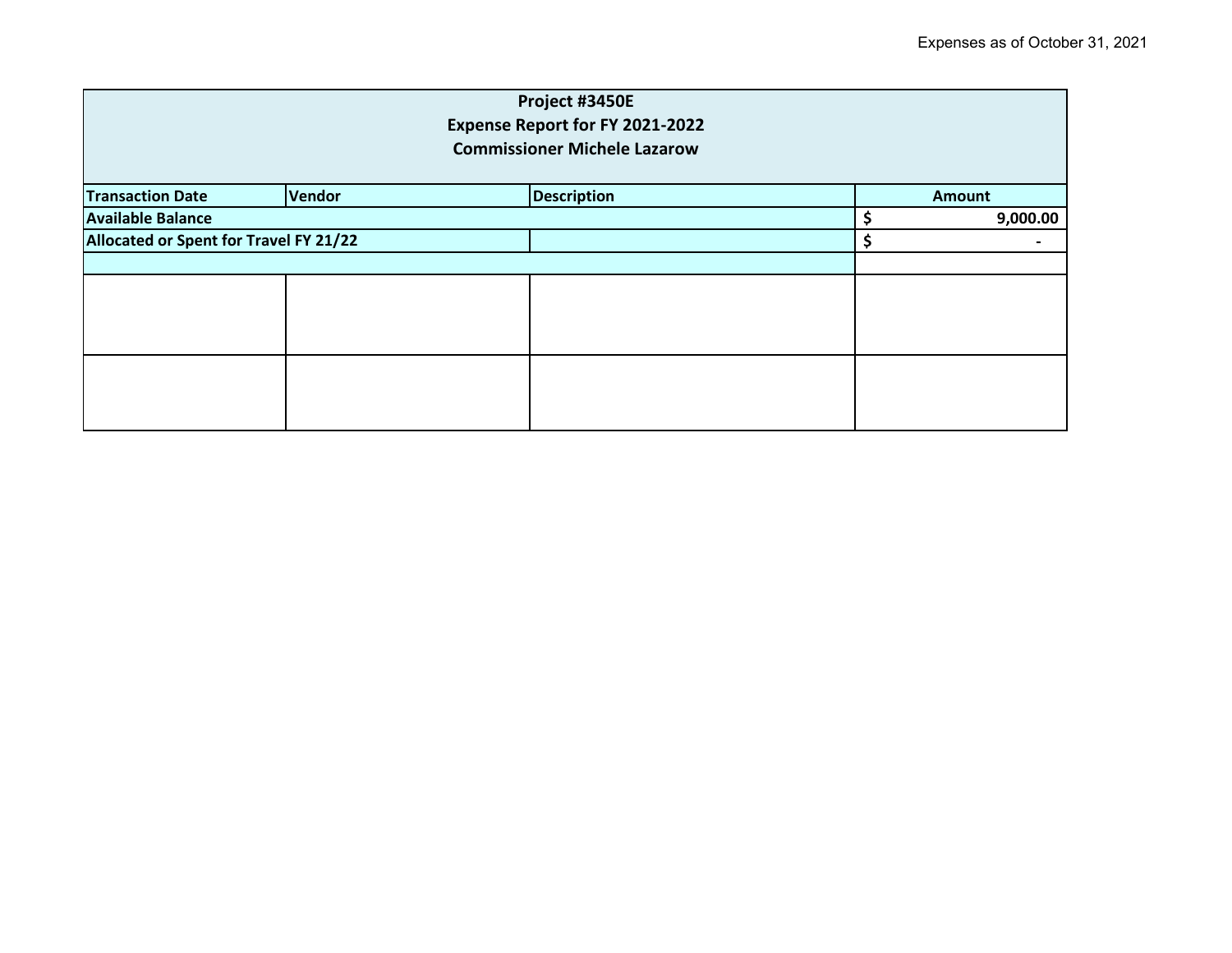| Project #3450E<br><b>Expense Report for FY 2021-2022</b><br><b>Commissioner Michele Lazarow</b> |  |  |  |               |          |
|-------------------------------------------------------------------------------------------------|--|--|--|---------------|----------|
| <b>Description</b><br><b>Vendor</b><br><b>Transaction Date</b>                                  |  |  |  | <b>Amount</b> |          |
| <b>Available Balance</b>                                                                        |  |  |  |               | 9,000.00 |
| Allocated or Spent for Travel FY 21/22                                                          |  |  |  | \$            |          |
|                                                                                                 |  |  |  |               |          |
|                                                                                                 |  |  |  |               |          |
|                                                                                                 |  |  |  |               |          |
|                                                                                                 |  |  |  |               |          |
|                                                                                                 |  |  |  |               |          |
|                                                                                                 |  |  |  |               |          |
|                                                                                                 |  |  |  |               |          |